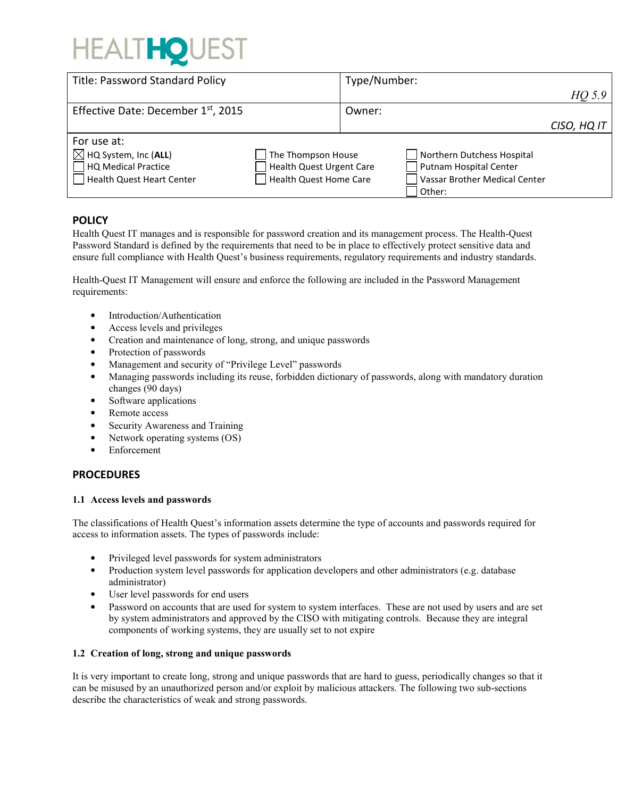# HEALTHOU

| <b>Title: Password Standard Policy</b>          |                                 | Type/Number: |                               |             |
|-------------------------------------------------|---------------------------------|--------------|-------------------------------|-------------|
|                                                 |                                 |              |                               | $HQ$ 5.9    |
| Effective Date: December 1 <sup>st</sup> , 2015 |                                 | Owner:       |                               |             |
|                                                 |                                 |              |                               | CISO, HQ IT |
| For use at:                                     |                                 |              |                               |             |
| $\boxtimes$ HQ System, Inc (ALL)                | The Thompson House              |              | Northern Dutchess Hospital    |             |
| HQ Medical Practice                             | <b>Health Quest Urgent Care</b> |              | Putnam Hospital Center        |             |
| Health Quest Heart Center                       | Health Quest Home Care          |              | Vassar Brother Medical Center |             |
|                                                 |                                 |              | Other:                        |             |

# **POLICY**

Health Quest IT manages and is responsible for password creation and its management process. The Health-Quest Password Standard is defined by the requirements that need to be in place to effectively protect sensitive data and ensure full compliance with Health Quest's business requirements, regulatory requirements and industry standards.

Health-Quest IT Management will ensure and enforce the following are included in the Password Management requirements:

- Introduction/Authentication
- Access levels and privileges
- Creation and maintenance of long, strong, and unique passwords
- Protection of passwords
- Management and security of "Privilege Level" passwords
- Managing passwords including its reuse, forbidden dictionary of passwords, along with mandatory duration changes (90 days)
- Software applications
- Remote access
- Security Awareness and Training
- Network operating systems (OS)
- **Enforcement**

## **PROCEDURES**

#### **1.1 Access levels and passwords**

The classifications of Health Quest's information assets determine the type of accounts and passwords required for access to information assets. The types of passwords include:

- Privileged level passwords for system administrators
- Production system level passwords for application developers and other administrators (e.g. database administrator)
- User level passwords for end users
- Password on accounts that are used for system to system interfaces. These are not used by users and are set by system administrators and approved by the CISO with mitigating controls. Because they are integral components of working systems, they are usually set to not expire

### **1.2 Creation of long, strong and unique passwords**

It is very important to create long, strong and unique passwords that are hard to guess, periodically changes so that it can be misused by an unauthorized person and/or exploit by malicious attackers. The following two sub-sections describe the characteristics of weak and strong passwords.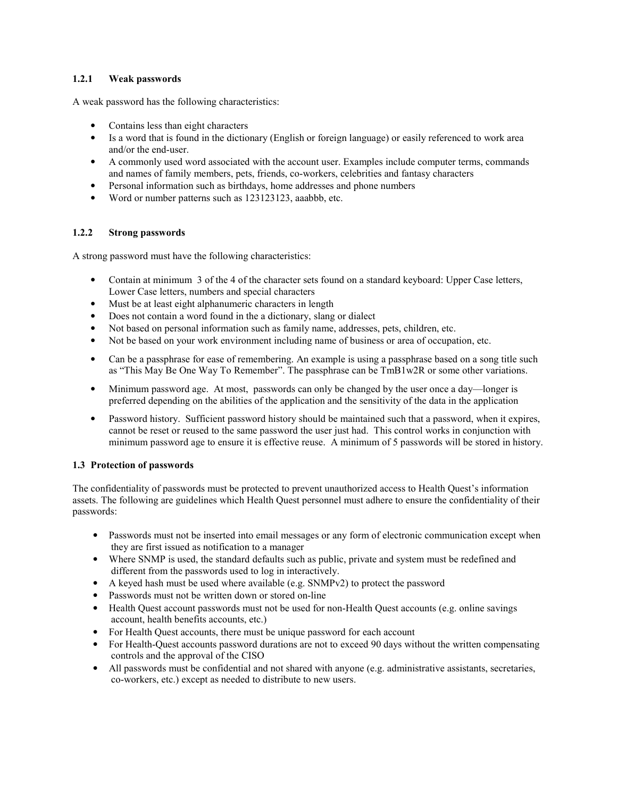### **1.2.1 Weak passwords**

A weak password has the following characteristics:

- Contains less than eight characters
- Is a word that is found in the dictionary (English or foreign language) or easily referenced to work area and/or the end-user.
- A commonly used word associated with the account user. Examples include computer terms, commands and names of family members, pets, friends, co-workers, celebrities and fantasy characters
- Personal information such as birthdays, home addresses and phone numbers
- Word or number patterns such as 123123123, aaabbb, etc.

#### **1.2.2 Strong passwords**

A strong password must have the following characteristics:

- Contain at minimum 3 of the 4 of the character sets found on a standard keyboard: Upper Case letters, Lower Case letters, numbers and special characters
- Must be at least eight alphanumeric characters in length
- Does not contain a word found in the a dictionary, slang or dialect
- Not based on personal information such as family name, addresses, pets, children, etc.
- Not be based on your work environment including name of business or area of occupation, etc.
- Can be a passphrase for ease of remembering. An example is using a passphrase based on a song title such as "This May Be One Way To Remember". The passphrase can be TmB1w2R or some other variations.
- Minimum password age. At most, passwords can only be changed by the user once a day—longer is preferred depending on the abilities of the application and the sensitivity of the data in the application
- Password history. Sufficient password history should be maintained such that a password, when it expires, cannot be reset or reused to the same password the user just had. This control works in conjunction with minimum password age to ensure it is effective reuse. A minimum of 5 passwords will be stored in history.

#### **1.3 Protection of passwords**

The confidentiality of passwords must be protected to prevent unauthorized access to Health Quest's information assets. The following are guidelines which Health Quest personnel must adhere to ensure the confidentiality of their passwords:

- Passwords must not be inserted into email messages or any form of electronic communication except when they are first issued as notification to a manager
- Where SNMP is used, the standard defaults such as public, private and system must be redefined and different from the passwords used to log in interactively.
- A keyed hash must be used where available (e.g. SNMPv2) to protect the password
- Passwords must not be written down or stored on-line
- Health Quest account passwords must not be used for non-Health Quest accounts (e.g. online savings account, health benefits accounts, etc.)
- For Health Quest accounts, there must be unique password for each account
- For Health-Quest accounts password durations are not to exceed 90 days without the written compensating controls and the approval of the CISO
- All passwords must be confidential and not shared with anyone (e.g. administrative assistants, secretaries, co-workers, etc.) except as needed to distribute to new users.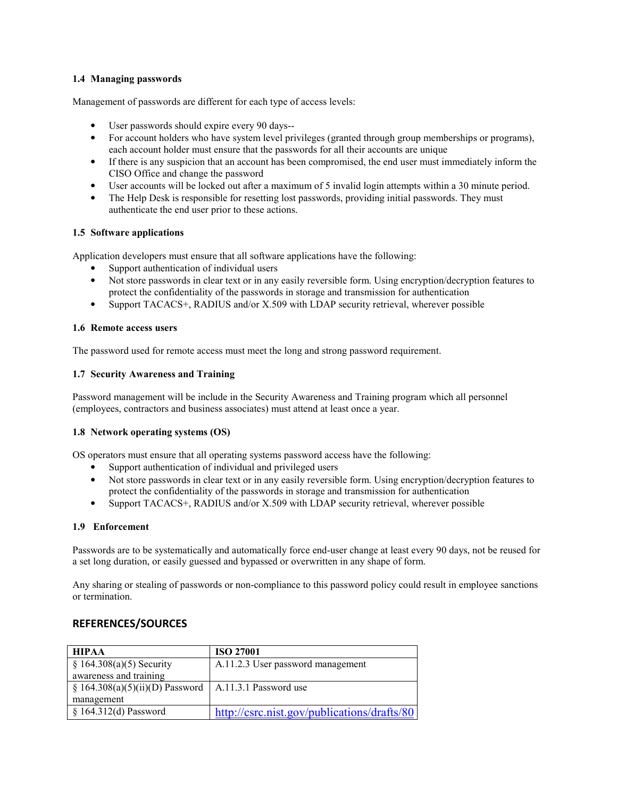#### **1.4 Managing passwords**

Management of passwords are different for each type of access levels:

- User passwords should expire every 90 days--
- For account holders who have system level privileges (granted through group memberships or programs), each account holder must ensure that the passwords for all their accounts are unique
- If there is any suspicion that an account has been compromised, the end user must immediately inform the CISO Office and change the password
- User accounts will be locked out after a maximum of 5 invalid login attempts within a 30 minute period.
- The Help Desk is responsible for resetting lost passwords, providing initial passwords. They must authenticate the end user prior to these actions.

#### **1.5 Software applications**

Application developers must ensure that all software applications have the following:

- Support authentication of individual users
- Not store passwords in clear text or in any easily reversible form. Using encryption/decryption features to protect the confidentiality of the passwords in storage and transmission for authentication
- Support TACACS+, RADIUS and/or X.509 with LDAP security retrieval, wherever possible

#### **1.6 Remote access users**

The password used for remote access must meet the long and strong password requirement.

#### **1.7 Security Awareness and Training**

Password management will be include in the Security Awareness and Training program which all personnel (employees, contractors and business associates) must attend at least once a year.

#### **1.8 Network operating systems (OS)**

OS operators must ensure that all operating systems password access have the following:

- Support authentication of individual and privileged users
- Not store passwords in clear text or in any easily reversible form. Using encryption/decryption features to protect the confidentiality of the passwords in storage and transmission for authentication
- Support TACACS+, RADIUS and/or X.509 with LDAP security retrieval, wherever possible

#### **1.9 Enforcement**

Passwords are to be systematically and automatically force end-user change at least every 90 days, not be reused for a set long duration, or easily guessed and bypassed or overwritten in any shape of form.

Any sharing or stealing of passwords or non-compliance to this password policy could result in employee sanctions or termination.

## **REFERENCES/SOURCES**

| <b>HIPAA</b>                     | <b>ISO 27001</b>                            |  |  |
|----------------------------------|---------------------------------------------|--|--|
| $§ 164.308(a)(5)$ Security       | A.11.2.3 User password management           |  |  |
| awareness and training           |                                             |  |  |
| $$164.308(a)(5)(ii)(D)$ Password | A.11.3.1 Password use                       |  |  |
| management                       |                                             |  |  |
| $$164.312(d)$ Password           | http://csrc.nist.gov/publications/drafts/80 |  |  |